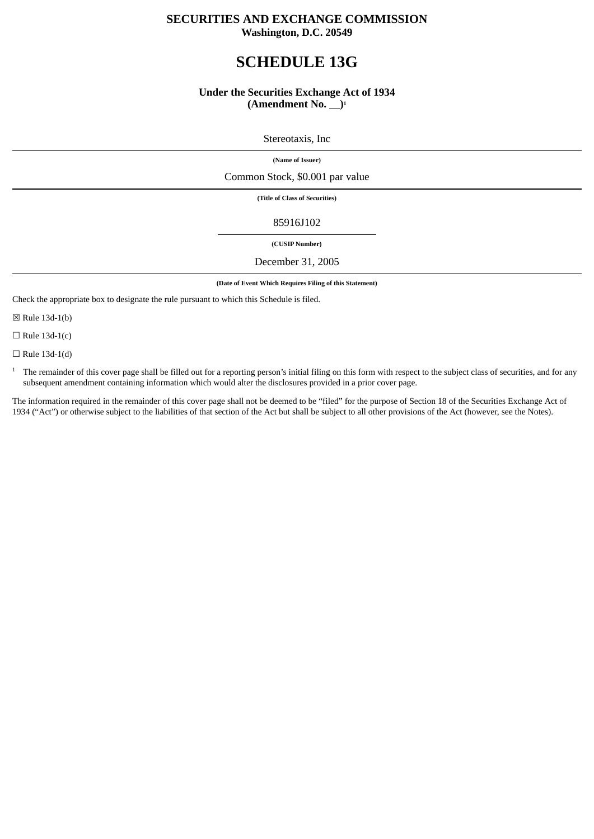# **SECURITIES AND EXCHANGE COMMISSION**

# **Washington, D.C. 20549**

# **SCHEDULE 13G**

## **Under the Securities Exchange Act of 1934** (Amendment No.  $\Box$ )<sup>1</sup>

Stereotaxis, Inc

**(Name of Issuer)**

Common Stock, \$0.001 par value

**(Title of Class of Securities)**

85916J102

 **(CUSIP Number)** 

#### December 31, 2005

**(Date of Event Which Requires Filing of this Statement)**

Check the appropriate box to designate the rule pursuant to which this Schedule is filed.

☒ Rule 13d-1(b)

 $\Box$  Rule 13d-1(c)

 $\Box$  Rule 13d-1(d)

<sup>1</sup> The remainder of this cover page shall be filled out for a reporting person's initial filing on this form with respect to the subject class of securities, and for any subsequent amendment containing information which would alter the disclosures provided in a prior cover page.

The information required in the remainder of this cover page shall not be deemed to be "filed" for the purpose of Section 18 of the Securities Exchange Act of 1934 ("Act") or otherwise subject to the liabilities of that section of the Act but shall be subject to all other provisions of the Act (however, see the Notes).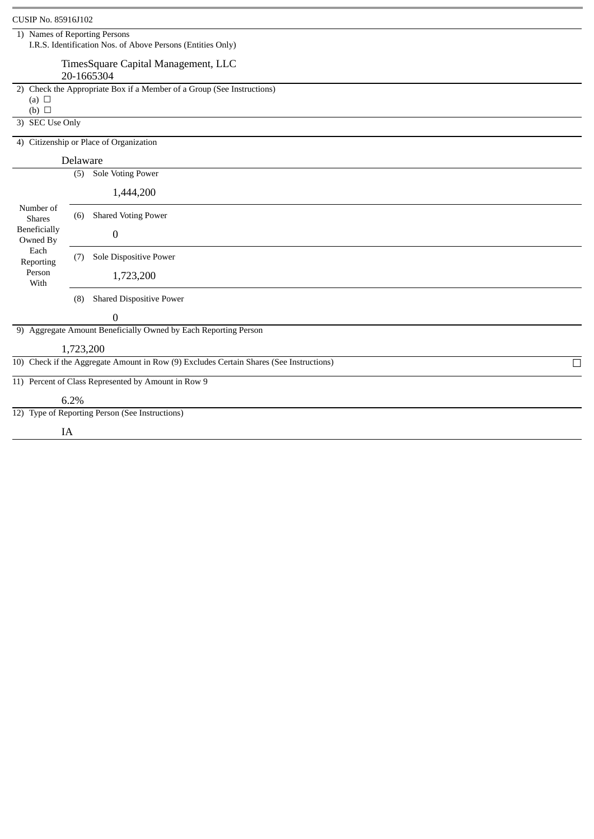| CUSIP No. 85916J102                                                                           |      |                                                                                         |        |
|-----------------------------------------------------------------------------------------------|------|-----------------------------------------------------------------------------------------|--------|
| 1) Names of Reporting Persons                                                                 |      | I.R.S. Identification Nos. of Above Persons (Entities Only)                             |        |
|                                                                                               |      | TimesSquare Capital Management, LLC                                                     |        |
|                                                                                               |      | 20-1665304                                                                              |        |
| (a) $\Box$                                                                                    |      | 2) Check the Appropriate Box if a Member of a Group (See Instructions)                  |        |
| $(b)$ $\square$<br>3) SEC Use Only                                                            |      |                                                                                         |        |
|                                                                                               |      | 4) Citizenship or Place of Organization                                                 |        |
|                                                                                               |      | Delaware                                                                                |        |
| Number of<br><b>Shares</b><br>Beneficially<br>Owned By<br>Each<br>Reporting<br>Person<br>With | (5)  | Sole Voting Power                                                                       |        |
|                                                                                               |      | 1,444,200                                                                               |        |
|                                                                                               | (6)  | <b>Shared Voting Power</b>                                                              |        |
|                                                                                               |      | 0                                                                                       |        |
|                                                                                               | (7)  | Sole Dispositive Power                                                                  |        |
|                                                                                               |      | 1,723,200                                                                               |        |
|                                                                                               | (8)  | <b>Shared Dispositive Power</b>                                                         |        |
|                                                                                               |      | 0                                                                                       |        |
|                                                                                               |      | 9) Aggregate Amount Beneficially Owned by Each Reporting Person                         |        |
|                                                                                               |      | 1,723,200                                                                               |        |
|                                                                                               |      | 10) Check if the Aggregate Amount in Row (9) Excludes Certain Shares (See Instructions) | $\Box$ |
|                                                                                               |      | 11) Percent of Class Represented by Amount in Row 9                                     |        |
|                                                                                               | 6.2% |                                                                                         |        |
|                                                                                               |      | 12) Type of Reporting Person (See Instructions)                                         |        |
| IA                                                                                            |      |                                                                                         |        |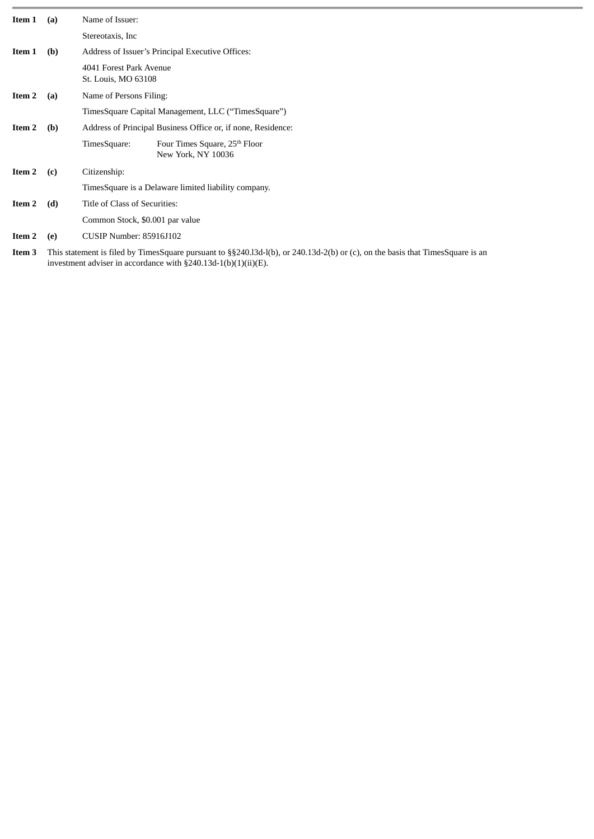| Item 1 | (a) | Name of Issuer:                                                                 |
|--------|-----|---------------------------------------------------------------------------------|
|        |     | Stereotaxis, Inc.                                                               |
| Item 1 | (b) | Address of Issuer's Principal Executive Offices:                                |
|        |     | 4041 Forest Park Avenue<br>St. Louis, MO 63108                                  |
| Item 2 | (a) | Name of Persons Filing:                                                         |
|        |     | TimesSquare Capital Management, LLC ("TimesSquare")                             |
| Item 2 | (b) | Address of Principal Business Office or, if none, Residence:                    |
|        |     | TimesSquare:<br>Four Times Square, 25 <sup>th</sup> Floor<br>New York, NY 10036 |
| Item 2 | (c) | Citizenship:                                                                    |
|        |     | Times Square is a Delaware limited liability company.                           |
| Item 2 | (d) | Title of Class of Securities:                                                   |
|        |     | Common Stock, \$0.001 par value                                                 |
| Item 2 | (e) | CUSIP Number: 85916J102                                                         |

**Item 3** This statement is filed by TimesSquare pursuant to §§240.l3d-l(b), or 240.13d-2(b) or (c), on the basis that TimesSquare is an investment adviser in accordance with §240.13d-1(b)(1)(ii)(E).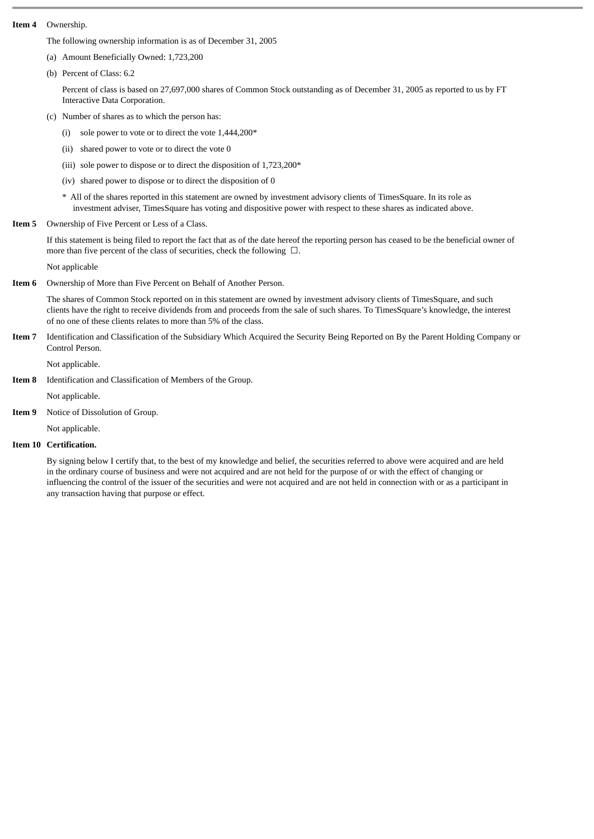### **Item 4** Ownership.

The following ownership information is as of December 31, 2005

- (a) Amount Beneficially Owned: 1,723,200
- (b) Percent of Class: 6.2

Percent of class is based on 27,697,000 shares of Common Stock outstanding as of December 31, 2005 as reported to us by FT Interactive Data Corporation.

- (c) Number of shares as to which the person has:
	- (i) sole power to vote or to direct the vote  $1,444,200*$
	- (ii) shared power to vote or to direct the vote 0
	- (iii) sole power to dispose or to direct the disposition of 1,723,200\*
	- (iv) shared power to dispose or to direct the disposition of 0
	- \* All of the shares reported in this statement are owned by investment advisory clients of TimesSquare. In its role as investment adviser, TimesSquare has voting and dispositive power with respect to these shares as indicated above.
- **Item 5** Ownership of Five Percent or Less of a Class.

If this statement is being filed to report the fact that as of the date hereof the reporting person has ceased to be the beneficial owner of more than five percent of the class of securities, check the following☐.

Not applicable

**Item 6** Ownership of More than Five Percent on Behalf of Another Person.

The shares of Common Stock reported on in this statement are owned by investment advisory clients of TimesSquare, and such clients have the right to receive dividends from and proceeds from the sale of such shares. To TimesSquare's knowledge, the interest of no one of these clients relates to more than 5% of the class.

**Item 7** Identification and Classification of the Subsidiary Which Acquired the Security Being Reported on By the Parent Holding Company or Control Person.

Not applicable.

**Item 8** Identification and Classification of Members of the Group.

Not applicable.

**Item 9** Notice of Dissolution of Group.

Not applicable.

## **Item 10 Certification.**

By signing below I certify that, to the best of my knowledge and belief, the securities referred to above were acquired and are held in the ordinary course of business and were not acquired and are not held for the purpose of or with the effect of changing or influencing the control of the issuer of the securities and were not acquired and are not held in connection with or as a participant in any transaction having that purpose or effect.